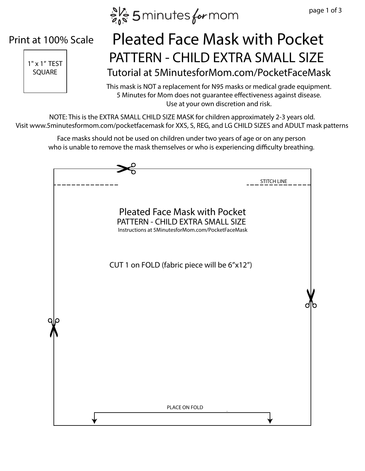$e^{N_c}$  5 minutes for mom

#### Print at 100% Scale



### $\left| \begin{array}{ccc} 1^{\frac{1}{100}} & \text{PATTERN} - \text{CHILD EXTRA SMALL SIZE} \end{array} \right|$ Tutorial at 5MinutesforMom.com/PocketFaceMask Pleated Face Mask with Pocket

This mask is NOT a replacement for N95 masks or medical grade equipment. 5 Minutes for Mom does not guarantee effectiveness against disease. Use at your own discretion and risk.

NOTE: This is the EXTRA SMALL CHILD SIZE MASK for children approximately 2-3 years old. Visit www.5minutesformom.com/pocketfacemask for XXS, S, REG, and LG CHILD SIZES and ADULT mask patterns

Face masks should not be used on children under two years of age or on any person who is unable to remove the mask themselves or who is experiencing difficulty breathing.

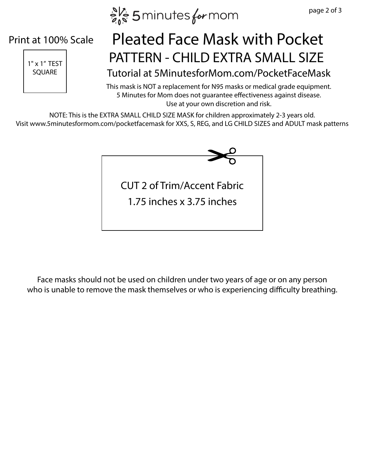$e^{N_c}$  5 minutes for mom

#### Print at 100% Scale



## $\left| \begin{array}{ccc} 1^{\frac{1}{100}} & \text{PATTERN} - \text{CHILD EXTRA SMALL SIZE} \end{array} \right|$ Pleated Face Mask with Pocket

SQUARE | Tutorial at 5MinutesforMom.com/PocketFaceMask

This mask is NOT a replacement for N95 masks or medical grade equipment. 5 Minutes for Mom does not guarantee effectiveness against disease. Use at your own discretion and risk.

NOTE: This is the EXTRA SMALL CHILD SIZE MASK for children approximately 2-3 years old. Visit www.5minutesformom.com/pocketfacemask for XXS, S, REG, and LG CHILD SIZES and ADULT mask patterns



Face masks should not be used on children under two years of age or on any person who is unable to remove the mask themselves or who is experiencing difficulty breathing.